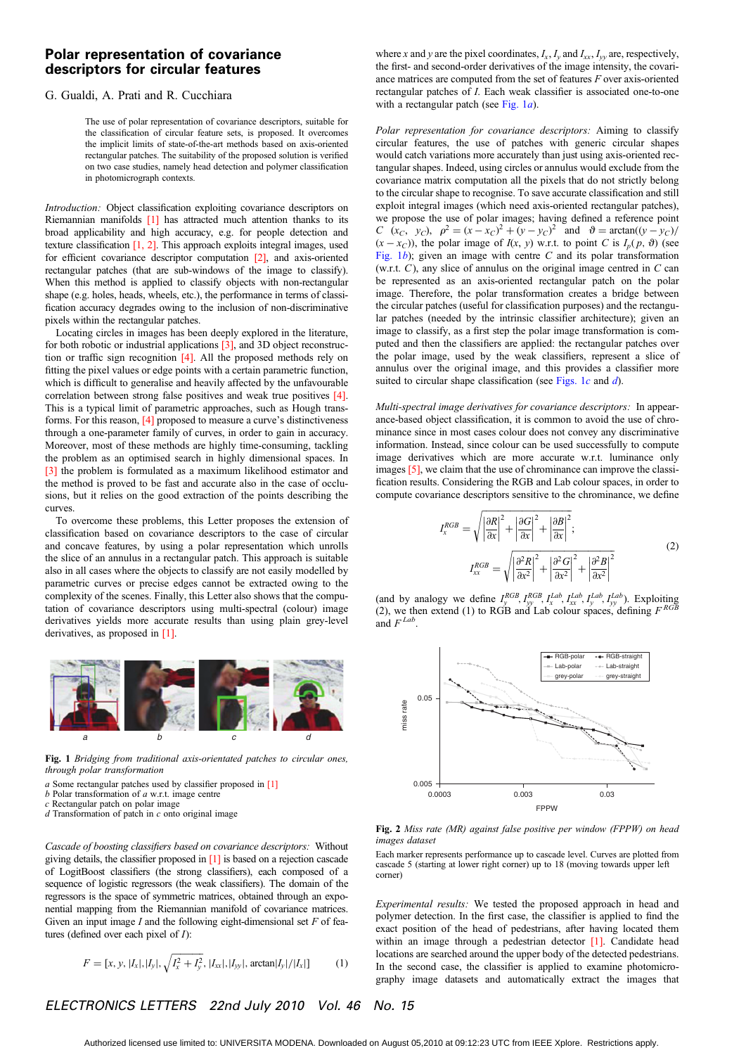# Polar representation of covariance descriptors for circular features

### G. Gualdi, A. Prati and R. Cucchiara

The use of polar representation of covariance descriptors, suitable for the classification of circular feature sets, is proposed. It overcomes the implicit limits of state-of-the-art methods based on axis-oriented rectangular patches. The suitability of the proposed solution is verified on two case studies, namely head detection and polymer classification in photomicrograph contexts.

Introduction: Object classification exploiting covariance descriptors on Riemannian manifolds [1] has attracted much attention thanks to its broad applicability and high accuracy, e.g. for people detection and texture classification [1, 2]. This approach exploits integral images, used for efficient covariance descriptor computation [2], and axis-oriented rectangular patches (that are sub-windows of the image to classify). When this method is applied to classify objects with non-rectangular shape (e.g. holes, heads, wheels, etc.), the performance in terms of classification accuracy degrades owing to the inclusion of non-discriminative pixels within the rectangular patches.

Locating circles in images has been deeply explored in the literature, for both robotic or industrial applications [3], and 3D object reconstruction or traffic sign recognition [4]. All the proposed methods rely on fitting the pixel values or edge points with a certain parametric function, which is difficult to generalise and heavily affected by the unfavourable correlation between strong false positives and weak true positives [4]. This is a typical limit of parametric approaches, such as Hough transforms. For this reason, [4] proposed to measure a curve's distinctiveness through a one-parameter family of curves, in order to gain in accuracy. Moreover, most of these methods are highly time-consuming, tackling the problem as an optimised search in highly dimensional spaces. In [3] the problem is formulated as a maximum likelihood estimator and the method is proved to be fast and accurate also in the case of occlusions, but it relies on the good extraction of the points describing the curves.

To overcome these problems, this Letter proposes the extension of classification based on covariance descriptors to the case of circular and concave features, by using a polar representation which unrolls the slice of an annulus in a rectangular patch. This approach is suitable also in all cases where the objects to classify are not easily modelled by parametric curves or precise edges cannot be extracted owing to the complexity of the scenes. Finally, this Letter also shows that the computation of covariance descriptors using multi-spectral (colour) image derivatives yields more accurate results than using plain grey-level derivatives, as proposed in [1].



Fig. 1 Bridging from traditional axis-orientated patches to circular ones, through polar transformation

- a Some rectangular patches used by classifier proposed in [1]
- $b$  Polar transformation of  $a$  w.r.t. image centre

tures (defined over each pixel of I):

c Rectangular patch on polar image  $d$  Transformation of patch in  $c$  onto original image

Cascade of boosting classifiers based on covariance descriptors: Without giving details, the classifier proposed in [1] is based on a rejection cascade of LogitBoost classifiers (the strong classifiers), each composed of a sequence of logistic regressors (the weak classifiers). The domain of the regressors is the space of symmetric matrices, obtained through an exponential mapping from the Riemannian manifold of covariance matrices. Given an input image  $I$  and the following eight-dimensional set  $F$  of fea-

$$
F = [x, y, |I_x|, |I_y|, \sqrt{I_x^2 + I_y^2}, |I_{xx}|, |I_{yy}|, \arctan|I_y|/|I_x|]
$$
(1)

where x and y are the pixel coordinates,  $I_x$ ,  $I_y$  and  $I_{xx}$ ,  $I_{yy}$  are, respectively, the first- and second-order derivatives of the image intensity, the covariance matrices are computed from the set of features F over axis-oriented rectangular patches of I. Each weak classifier is associated one-to-one with a rectangular patch (see Fig.  $1a$ ).

Polar representation for covariance descriptors: Aiming to classify circular features, the use of patches with generic circular shapes would catch variations more accurately than just using axis-oriented rectangular shapes. Indeed, using circles or annulus would exclude from the covariance matrix computation all the pixels that do not strictly belong to the circular shape to recognise. To save accurate classification and still exploit integral images (which need axis-oriented rectangular patches), we propose the use of polar images; having defined a reference point C (xc, yc),  $\rho^2 = (x - x_C)^2 + (y - y_C)^2$  and  $\vartheta = \arctan((y - y_C))$  $(x - x_C)$ ), the polar image of  $I(x, y)$  w.r.t. to point C is  $I_p(p, \theta)$  (see Fig.  $1b$ ); given an image with centre C and its polar transformation (w.r.t.  $C$ ), any slice of annulus on the original image centred in  $C$  can be represented as an axis-oriented rectangular patch on the polar image. Therefore, the polar transformation creates a bridge between the circular patches (useful for classification purposes) and the rectangular patches (needed by the intrinsic classifier architecture); given an image to classify, as a first step the polar image transformation is computed and then the classifiers are applied: the rectangular patches over the polar image, used by the weak classifiers, represent a slice of annulus over the original image, and this provides a classifier more suited to circular shape classification (see Figs. 1 $c$  and  $d$ ).

Multi-spectral image derivatives for covariance descriptors: In appearance-based object classification, it is common to avoid the use of chrominance since in most cases colour does not convey any discriminative information. Instead, since colour can be used successfully to compute image derivatives which are more accurate w.r.t. luminance only images [5], we claim that the use of chrominance can improve the classification results. Considering the RGB and Lab colour spaces, in order to compute covariance descriptors sensitive to the chrominance, we define

I

$$
I_x^{RGB} = \sqrt{\left|\frac{\partial R}{\partial x}\right|^2 + \left|\frac{\partial G}{\partial x}\right|^2 + \left|\frac{\partial B}{\partial x}\right|^2};
$$
  

$$
I_{xx}^{RGB} = \sqrt{\left|\frac{\partial^2 R}{\partial x^2}\right|^2 + \left|\frac{\partial^2 G}{\partial x^2}\right|^2 + \left|\frac{\partial^2 B}{\partial x^2}\right|^2}
$$
(2)

(and by analogy we define  $I_y^{RGB}, I_{yy}^{RGB}, I_{xx}^{Lab}, I_{yx}^{Lab}, I_{yx}^{lab}, I_{yy}^{lab})$ ). Exploiting (2), we then extend (1) to RGB and Lab colour spaces, defining  $F^{RGB}$ and  $F^{Lab}$ .



Fig. 2 Miss rate (MR) against false positive per window (FPPW) on head images dataset

Each marker represents performance up to cascade level. Curves are plotted from cascade 5 (starting at lower right corner) up to 18 (moving towards upper left corner)

Experimental results: We tested the proposed approach in head and polymer detection. In the first case, the classifier is applied to find the exact position of the head of pedestrians, after having located them within an image through a pedestrian detector [1]. Candidate head locations are searched around the upper body of the detected pedestrians. In the second case, the classifier is applied to examine photomicrography image datasets and automatically extract the images that

## ELECTRONICS LETTERS 22nd July 2010 Vol. 46 No. 15

Authorized licensed use limited to: UNIVERSITA MODENA. Downloaded on August 05,2010 at 09:12:23 UTC from IEEE Xplore. Restrictions apply.